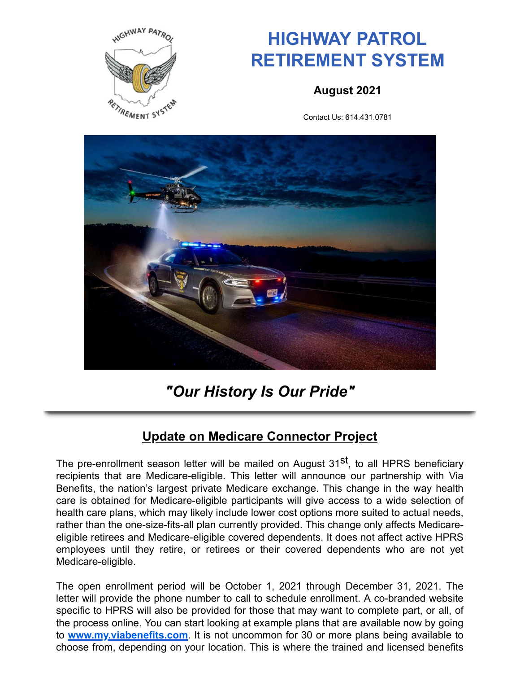

# **HIGHWAY PATROL RETIREMENT SYSTEM**

**August 2021**

Contact Us: 614.431.0781



## *"Our History Is Our Pride"*

#### **Update on Medicare Connector Project**

The pre-enrollment season letter will be mailed on August 31<sup>st</sup>, to all HPRS beneficiary recipients that are Medicare-eligible. This letter will announce our partnership with Via Benefits, the nation's largest private Medicare exchange. This change in the way health care is obtained for Medicare-eligible participants will give access to a wide selection of health care plans, which may likely include lower cost options more suited to actual needs, rather than the one-size-fits-all plan currently provided. This change only affects Medicareeligible retirees and Medicare-eligible covered dependents. It does not affect active HPRS employees until they retire, or retirees or their covered dependents who are not yet Medicare-eligible.

The open enrollment period will be October 1, 2021 through December 31, 2021. The letter will provide the phone number to call to schedule enrollment. A co-branded website specific to HPRS will also be provided for those that may want to complete part, or all, of the process online. You can start looking at example plans that are available now by going to **www.my.viabenefits.com**. It is not uncommon for 30 or more plans being available to choose from, depending on your location. This is where the trained and licensed benefits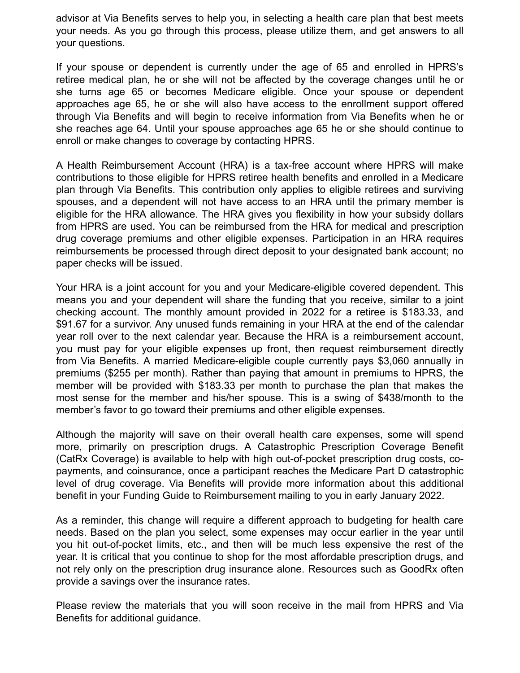advisor at Via Benefits serves to help you, in selecting a health care plan that best meets your needs. As you go through this process, please utilize them, and get answers to all your questions.

If your spouse or dependent is currently under the age of 65 and enrolled in HPRS's retiree medical plan, he or she will not be affected by the coverage changes until he or she turns age 65 or becomes Medicare eligible. Once your spouse or dependent approaches age 65, he or she will also have access to the enrollment support offered through Via Benefits and will begin to receive information from Via Benefits when he or she reaches age 64. Until your spouse approaches age 65 he or she should continue to enroll or make changes to coverage by contacting HPRS.

A Health Reimbursement Account (HRA) is a tax-free account where HPRS will make contributions to those eligible for HPRS retiree health benefits and enrolled in a Medicare plan through Via Benefits. This contribution only applies to eligible retirees and surviving spouses, and a dependent will not have access to an HRA until the primary member is eligible for the HRA allowance. The HRA gives you flexibility in how your subsidy dollars from HPRS are used. You can be reimbursed from the HRA for medical and prescription drug coverage premiums and other eligible expenses. Participation in an HRA requires reimbursements be processed through direct deposit to your designated bank account; no paper checks will be issued.

Your HRA is a joint account for you and your Medicare-eligible covered dependent. This means you and your dependent will share the funding that you receive, similar to a joint checking account. The monthly amount provided in 2022 for a retiree is \$183.33, and \$91.67 for a survivor. Any unused funds remaining in your HRA at the end of the calendar year roll over to the next calendar year. Because the HRA is a reimbursement account, you must pay for your eligible expenses up front, then request reimbursement directly from Via Benefits. A married Medicare-eligible couple currently pays \$3,060 annually in premiums (\$255 per month). Rather than paying that amount in premiums to HPRS, the member will be provided with \$183.33 per month to purchase the plan that makes the most sense for the member and his/her spouse. This is a swing of \$438/month to the member's favor to go toward their premiums and other eligible expenses.

Although the majority will save on their overall health care expenses, some will spend more, primarily on prescription drugs. A Catastrophic Prescription Coverage Benefit (CatRx Coverage) is available to help with high out-of-pocket prescription drug costs, copayments, and coinsurance, once a participant reaches the Medicare Part D catastrophic level of drug coverage. Via Benefits will provide more information about this additional benefit in your Funding Guide to Reimbursement mailing to you in early January 2022.

As a reminder, this change will require a different approach to budgeting for health care needs. Based on the plan you select, some expenses may occur earlier in the year until you hit out-of-pocket limits, etc., and then will be much less expensive the rest of the year. It is critical that you continue to shop for the most affordable prescription drugs, and not rely only on the prescription drug insurance alone. Resources such as GoodRx often provide a savings over the insurance rates.

Please review the materials that you will soon receive in the mail from HPRS and Via Benefits for additional guidance.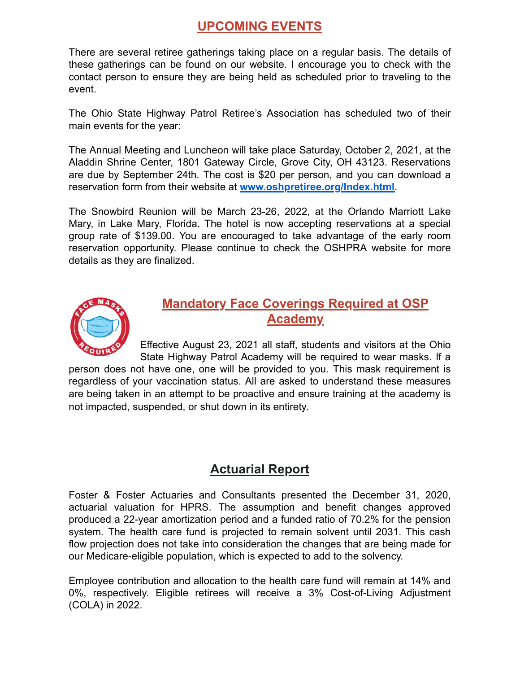#### **UPCOMING EVENTS**

There are several retiree gatherings taking place on a regular basis. The details of these gatherings can be found on our website. I encourage you to check with the contact person to ensure they are being held as scheduled prior to traveling to the event.

The Ohio State Highway Patrol Retiree's Association has scheduled two of their main events for the year:

The Annual Meeting and Luncheon will take place Saturday, October 2, 2021, at the Aladdin Shrine Center, 1801 Gateway Circle, Grove City, OH 43123. Reservations are due by September 24th. The cost is \$20 per person, and you can download a reservation form from their website at **www.oshpretiree.org/Index.html**.

The Snowbird Reunion will be March 23-26, 2022, at the Orlando Marriott Lake Mary, in Lake Mary, Florida. The hotel is now accepting reservations at a special group rate of \$139.00. You are encouraged to take advantage of the early room reservation opportunity. Please continue to check the OSHPRA website for more details as they are finalized.



#### **Mandatory Face Coverings Required at OSP Academy**

Effective August 23, 2021 all staff, students and visitors at the Ohio State Highway Patrol Academy will be required to wear masks. If a

person does not have one, one will be provided to you. This mask requirement is regardless of your vaccination status. All are asked to understand these measures are being taken in an attempt to be proactive and ensure training at the academy is not impacted, suspended, or shut down in its entirety.

#### **Actuarial Report**

Foster & Foster Actuaries and Consultants presented the December 31, 2020, actuarial valuation for HPRS. The assumption and benefit changes approved produced a 22-year amortization period and a funded ratio of 70.2% for the pension system. The health care fund is projected to remain solvent until 2031. This cash flow projection does not take into consideration the changes that are being made for our Medicare-eligible population, which is expected to add to the solvency.

Employee contribution and allocation to the health care fund will remain at 14% and 0%, respectively. Eligible retirees will receive a 3% Cost-of-Living Adjustment (COLA) in 2022.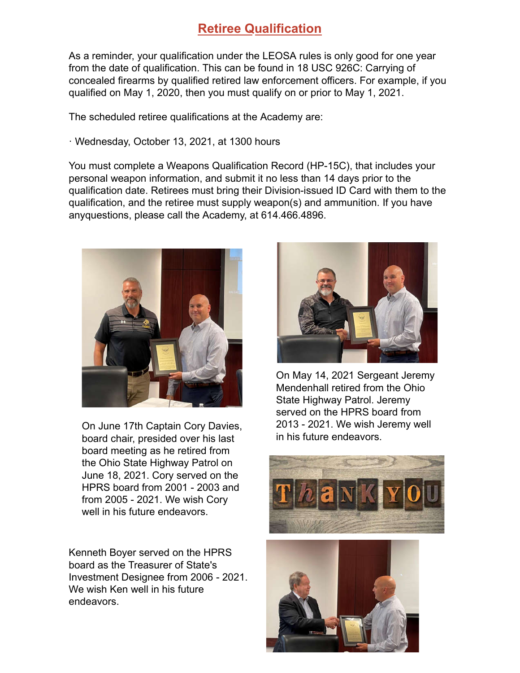#### **Retiree Qualification**

qualified on May 1, 2020, then you must qualify on or prior to May 1, 2021. concealed firearms by qualified retired law enforcement officers. For example, if you from the date of qualification. This can be found in 18 USC 926C: Carrying of As a reminder, your qualification under the LEOSA rules is only good for one year

The scheduled retiree qualifications at the Academy are:

· Wednesday, October 13, 2021, at 1300 hours

anyquestions, please call the Academy, at 614.466.4896. qualification, and the retiree must supply weapon(s) and ammunition. If you have qualification date. Retirees must bring their Division-issued ID Card with them to the personal weapon information, and submit it no less than 14 days prior to the You must complete a Weapons Qualification Record (HP-15C), that includes your



On June 17th Captain Cory Davies, board chair, presided over his last board meeting as he retired from the Ohio State Highway Patrol on June 18, 2021. Cory served on the HPRS board from 2001 - 2003 and from 2005 - 2021. We wish Cory well in his future endeavors.

Kenneth Boyer served on the HPRS board as the Treasurer of State's Investment Designee from 2006 - 2021. We wish Ken well in his future endeavors.



On May 14, 2021 Sergeant Jeremy Mendenhall retired from the Ohio State Highway Patrol. Jeremy served on the HPRS board from 2013 - 2021. We wish Jeremy well in his future endeavors.